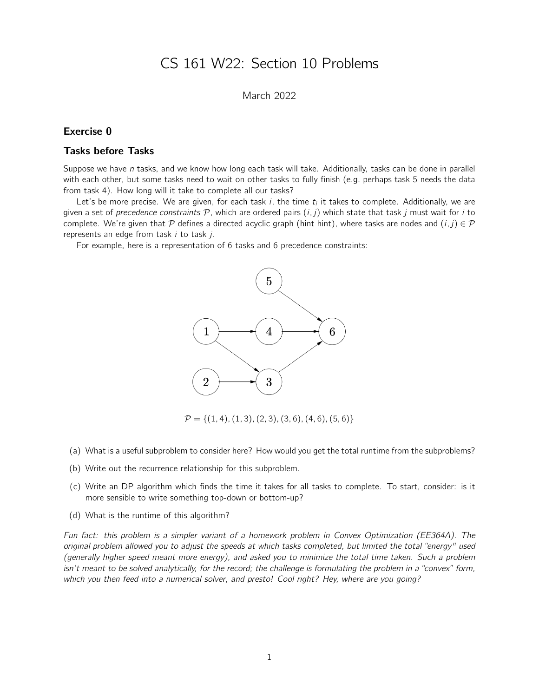# CS 161 W22: Section 10 Problems

# March 2022

### Exercise 0

### Tasks before Tasks

Suppose we have n tasks, and we know how long each task will take. Additionally, tasks can be done in parallel with each other, but some tasks need to wait on other tasks to fully finish (e.g. perhaps task 5 needs the data from task 4). How long will it take to complete all our tasks?

Let's be more precise. We are given, for each task  $i$ , the time  $t_i$  it takes to complete. Additionally, we are given a set of precedence constraints  $P$ , which are ordered pairs  $(i, j)$  which state that task j must wait for i to complete. We're given that P defines a directed acyclic graph (hint hint), where tasks are nodes and  $(i, j) \in \mathcal{P}$ represents an edge from task  $i$  to task  $j$ .

For example, here is a representation of 6 tasks and 6 precedence constraints:



 $\mathcal{P} = \{(1, 4), (1, 3), (2, 3), (3, 6), (4, 6), (5, 6)\}\$ 

- (a) What is a useful subproblem to consider here? How would you get the total runtime from the subproblems?
- (b) Write out the recurrence relationship for this subproblem.
- (c) Write an DP algorithm which finds the time it takes for all tasks to complete. To start, consider: is it more sensible to write something top-down or bottom-up?
- (d) What is the runtime of this algorithm?

Fun fact: this problem is a simpler variant of a homework problem in Convex Optimization (EE364A). The original problem allowed you to adjust the speeds at which tasks completed, but limited the total "energy" used (generally higher speed meant more energy), and asked you to minimize the total time taken. Such a problem isn't meant to be solved analytically, for the record; the challenge is formulating the problem in a "convex" form, which you then feed into a numerical solver, and presto! Cool right? Hey, where are you going?